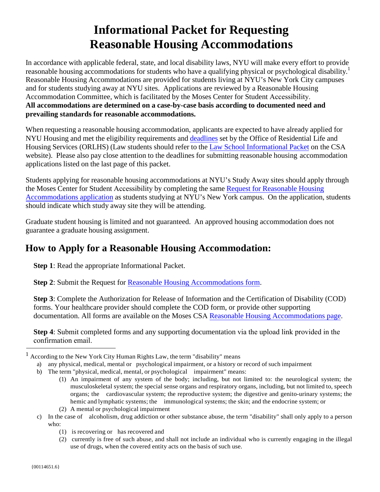# **Informational Packet for Requesting Reasonable Housing Accommodations**

In accordance with applicable federal, state, and local disability laws, NYU will make every effort to provide reasonable housing accommodations for students who have a qualifying physical or psychological disability.<sup>1</sup> Reasonable Housing Accommodations are provided for students living at NYU's New York City campuses and for students studying away at NYU sites. Applications are reviewed by a Reasonable Housing Accommodation Committee, which is facilitated by the Moses Center for Student Accessibility. **All accommodations are determined on a case-by-case basis according to documented need and prevailing standards for reasonable accommodations.**

When requesting a reasonable housing accommodation, applicants are expected to have already applied for NYU Housing and met the eligibility requirements and [deadlines](http://www.nyu.edu/students/student-information-and-resources/housing-and-dining/on-campus-living/application-and-assignments/applying-for-housing.html) set by the Office of Residential Life and Housing Services (ORLHS) (Law students should refer to the Law [School Informational Packet](https://www.nyu.edu/content/dam/nyu/mosesCenter/documents/CSD_0211_School_of_Law_Informational_Packet_for_Requesting_Reasonable_Housing_Accommodations.pdf) on the CSA website). Please also pay close attention to the deadlines for submitting reasonable housing accommodation applications listed on the last page of this packet.

Students applying for reasonable housing accommodations at NYU's Study Away sites should apply through the Moses Center for Student Accessibility by completing the same Request for [Reasonable](https://bachelor.accessiblelearning.com/NYU/ApplicationHousing.aspx) Housing [Accommodations application](https://bachelor.accessiblelearning.com/NYU/ApplicationHousing.aspx) as students studying at NYU's New York campus. On the application, students should indicate which study away site they will be attending.

Graduate student housing is limited and not guaranteed. An approved housing accommodation does not guarantee a graduate housing assignment.

## **How to Apply for a Reasonable Housing Accommodation:**

**Step 1**: Read the appropriate Informational Packet.

**Step 2**: Submit the Request for [Reasonable Housing Accommodations form.](https://bachelor.accessiblelearning.com/NYU/ApplicationHousing.aspx)

**Step 3**: Complete the Authorization for Release of Information and the Certification of Disability (COD) forms. Your healthcare provider should complete the COD form, or provide other supporting documentation. All forms are available on the Moses CSA [Reasonable Housing Accommodations page.](https://www.nyu.edu/students/communities-and-groups/student-accessibility/housing.html)

**Step 4**: Submit completed forms and any supporting documentation via the upload link provided in the confirmation email.

- b) The term "physical, medical, mental, or psychological impairment" means:
	- (1) An impairment of any system of the body; including, but not limited to: the neurological system; the musculoskeletal system; the special sense organs and respiratory organs, including, but not limited to, speech organs; the cardiovascular system; the reproductive system; the digestive and genito-urinary systems; the hemic and lymphatic systems; the immunological systems; the skin; and the endocrine system; or
	- (2) A mental or psychological impairment
- c) In the case of alcoholism, drug addiction or other substance abuse, the term "disability" shall only apply to a person who:
	- (1) is recovering or has recovered and
	- (2) currently is free of such abuse, and shall not include an individual who is currently engaging in the illegal use of drugs, when the covered entity acts on the basis of such use.

<sup>1</sup> According to the New York City Human Rights Law, the term "disability" means

a) any physical, medical, mental or psychological impairment, or a history or record of such impairment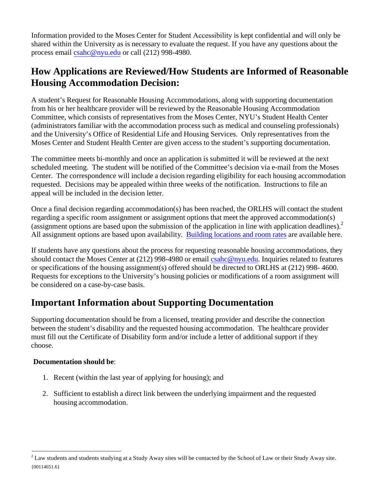Information provided to the Moses Center for Student Accessibility is kept confidential and will only be shared within the University as is necessary to evaluate the request. If you have any questions about the process email csa[hc@nyu.edu](mailto:csahc@nyu.edu) or call (212) 998-4980.

# **How Applications are Reviewed/How Students are Informed of Reasonable Housing Accommodation Decision:**

A student's Request for Reasonable Housing Accommodations, along with supporting documentation from his or her healthcare provider will be reviewed by the Reasonable Housing Accommodation Committee, which consists of representatives from the Moses Center, NYU's Student Health Center (administrators familiar with the accommodation process such as medical and counseling professionals) and the University's Office of Residential Life and Housing Services. Only representatives from the Moses Center and Student Health Center are given access to the student's supporting documentation.

The committee meets bi-monthly and once an application is submitted it will be reviewed at the next scheduled meeting. The student will be notified of the Committee's decision via e-mail from the Moses Center. The correspondence will include a decision regarding eligibility for each housing accommodation requested. Decisions may be appealed within three weeks of the notification. Instructions to file an appeal will be included in the decision letter.

Once a final decision regarding accommodation(s) has been reached, the ORLHS will contact the student regarding a specific room assignment or assignment options that meet the approved accommodation(s) (assignment options are based upon the submission of the application in line with application deadlines).<sup>2</sup> All assignment options are based upon availability. [Building locations and](http://www.nyu.edu/students/student-information-and-resources/housing-and-dining/on-campus-living/application-and-assignments/rates-and-payments.html) room rates are available here.

If students have any questions about the process for requesting reasonable housing accommodations, they should contact the Moses Center at (212) 998-4980 or email csa[hc@nyu.edu.](mailto:csahc@nyu.edu) Inquiries related to features or specifications of the housing assignment(s) offered should be directed to ORLHS at (212) 998- 4600. Requests for exceptions to the University's housing policies or modifications of a room assignment will be considered on a case-by-case basis.

## **Important Information about Supporting Documentation**

Supporting documentation should be from a licensed, treating provider and describe the connection between the student's disability and the requested housing accommodation. The healthcare provider must fill out the Certificate of Disability form and/or include a letter of additional support if they choose.

#### **Documentation should be**:

- 1. Recent (within the last year of applying for housing); and
- 2. Sufficient to establish a direct link between the underlying impairment and the requested housing accommodation.

 ${00114651.6}$  $2$  Law students and students studying at a Study Away sites will be contacted by the School of Law or their Study Away site.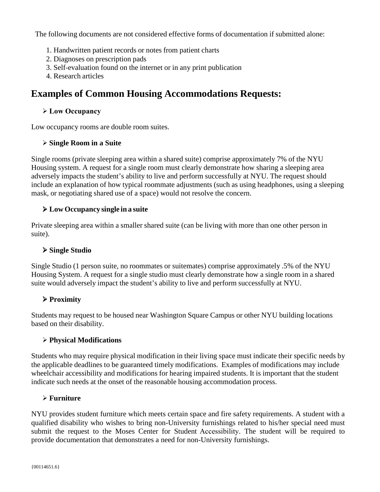The following documents are not considered effective forms of documentation if submitted alone:

- 1. Handwritten patient records or notes from patient charts
- 2. Diagnoses on prescription pads
- 3. Self-evaluation found on the internet or in any print publication
- 4. Research articles

### **Examples of Common Housing Accommodations Requests:**

#### **Low Occupancy**

Low occupancy rooms are double room suites.

#### **Single Room in a Suite**

Single rooms (private sleeping area within a shared suite) comprise approximately 7% of the NYU Housing system. A request for a single room must clearly demonstrate how sharing a sleeping area adversely impacts the student's ability to live and perform successfully at NYU. The request should include an explanation of how typical roommate adjustments (such as using headphones, using a sleeping mask, or negotiating shared use of a space) would not resolve the concern.

#### **Low Occupancy single in a suite**

Private sleeping area within a smaller shared suite (can be living with more than one other person in suite).

#### **Single Studio**

Single Studio (1 person suite, no roommates or suitemates) comprise approximately .5% of the NYU Housing System. A request for a single studio must clearly demonstrate how a single room in a shared suite would adversely impact the student's ability to live and perform successfully at NYU.

#### **Proximity**

Students may request to be housed near Washington Square Campus or other NYU building locations based on their disability.

#### **Physical Modifications**

Students who may require physical modification in their living space must indicate their specific needs by the applicable deadlines to be guaranteed timely modifications. Examples of modifications may include wheelchair accessibility and modifications for hearing impaired students. It is important that the student indicate such needs at the onset of the reasonable housing accommodation process.

#### **Furniture**

NYU provides student furniture which meets certain space and fire safety requirements. A student with a qualified disability who wishes to bring non-University furnishings related to his/her special need must submit the request to the Moses Center for Student Accessibility. The student will be required to provide documentation that demonstrates a need for non-University furnishings.